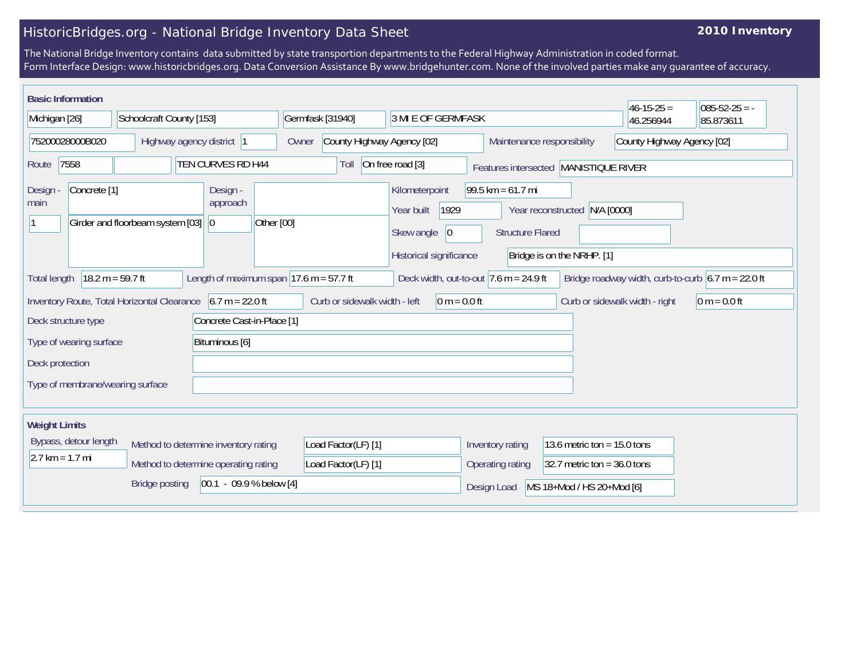## HistoricBridges.org - National Bridge Inventory Data Sheet

## **2010 Inventory**

The National Bridge Inventory contains data submitted by state transportion departments to the Federal Highway Administration in coded format. Form Interface Design: www.historicbridges.org. Data Conversion Assistance By www.bridgehunter.com. None of the involved parties make any guarantee of accuracy.

| <b>Basic Information</b>                                                                                                                                                                                                     |                                  |                                                   |                                                          |                                                                                      |                                                                                                                                  | $46 - 15 - 25 =$ | $085 - 52 - 25 = -$ |  |
|------------------------------------------------------------------------------------------------------------------------------------------------------------------------------------------------------------------------------|----------------------------------|---------------------------------------------------|----------------------------------------------------------|--------------------------------------------------------------------------------------|----------------------------------------------------------------------------------------------------------------------------------|------------------|---------------------|--|
| Michigan [26]<br>Schoolcraft County [153]                                                                                                                                                                                    |                                  | Germfask [31940]<br>3 MI E OF GERMFASK            |                                                          |                                                                                      | 46.256944                                                                                                                        | 85.873611        |                     |  |
| 75200028000B020<br>Highway agency district  1                                                                                                                                                                                |                                  | Owner                                             | County Highway Agency [02]<br>Maintenance responsibility |                                                                                      | County Highway Agency [02]                                                                                                       |                  |                     |  |
| TEN CURVES RD H44<br>7558<br>Route                                                                                                                                                                                           |                                  |                                                   | Toll                                                     | On free road [3]                                                                     | Features intersected  MANISTIQUE RIVER                                                                                           |                  |                     |  |
| Concrete <sup>[1]</sup><br>Design -<br>main                                                                                                                                                                                  | Girder and floorbeam system [03] | Design -<br>approach<br>Other [00]<br>$ 0\rangle$ |                                                          | Kilometerpoint<br>1929<br>Year built<br>Skew angle<br> 0 <br>Historical significance | $99.5 \text{ km} = 61.7 \text{ mi}$<br>N/A [0000]<br>Year reconstructed<br><b>Structure Flared</b><br>Bridge is on the NRHP. [1] |                  |                     |  |
| $18.2 m = 59.7 ft$<br>Length of maximum span $17.6$ m = 57.7 ft<br>Bridge roadway width, curb-to-curb $6.7 \text{ m} = 22.0 \text{ ft}$<br>Deck width, out-to-out $ 7.6 \text{ m} = 24.9 \text{ ft} $<br><b>Total length</b> |                                  |                                                   |                                                          |                                                                                      |                                                                                                                                  |                  |                     |  |
| Inventory Route, Total Horizontal Clearance 6.7 m = 22.0 ft<br>Curb or sidewalk width - left<br>$0 m = 0.0 ft$<br>Curb or sidewalk width - right<br>$0 m = 0.0 ft$                                                           |                                  |                                                   |                                                          |                                                                                      |                                                                                                                                  |                  |                     |  |
| Concrete Cast-in-Place [1]<br>Deck structure type                                                                                                                                                                            |                                  |                                                   |                                                          |                                                                                      |                                                                                                                                  |                  |                     |  |
| Bituminous [6]<br>Type of wearing surface                                                                                                                                                                                    |                                  |                                                   |                                                          |                                                                                      |                                                                                                                                  |                  |                     |  |
| Deck protection                                                                                                                                                                                                              |                                  |                                                   |                                                          |                                                                                      |                                                                                                                                  |                  |                     |  |
| Type of membrane/wearing surface                                                                                                                                                                                             |                                  |                                                   |                                                          |                                                                                      |                                                                                                                                  |                  |                     |  |
| <b>Weight Limits</b>                                                                                                                                                                                                         |                                  |                                                   |                                                          |                                                                                      |                                                                                                                                  |                  |                     |  |
| Bypass, detour length<br>Method to determine inventory rating                                                                                                                                                                |                                  |                                                   | Load Factor(LF) [1]                                      |                                                                                      | Inventory rating<br>13.6 metric ton = $15.0$ tons                                                                                |                  |                     |  |
| $2.7 km = 1.7 mi$<br>Method to determine operating rating                                                                                                                                                                    |                                  |                                                   | Load Factor(LF) [1]                                      |                                                                                      | Operating rating<br>32.7 metric ton = $36.0$ tons                                                                                |                  |                     |  |
| $[00.1 - 09.9 %$ below [4]<br><b>Bridge posting</b>                                                                                                                                                                          |                                  |                                                   |                                                          |                                                                                      | MS 18+Mod / HS 20+Mod [6]<br>Design Load                                                                                         |                  |                     |  |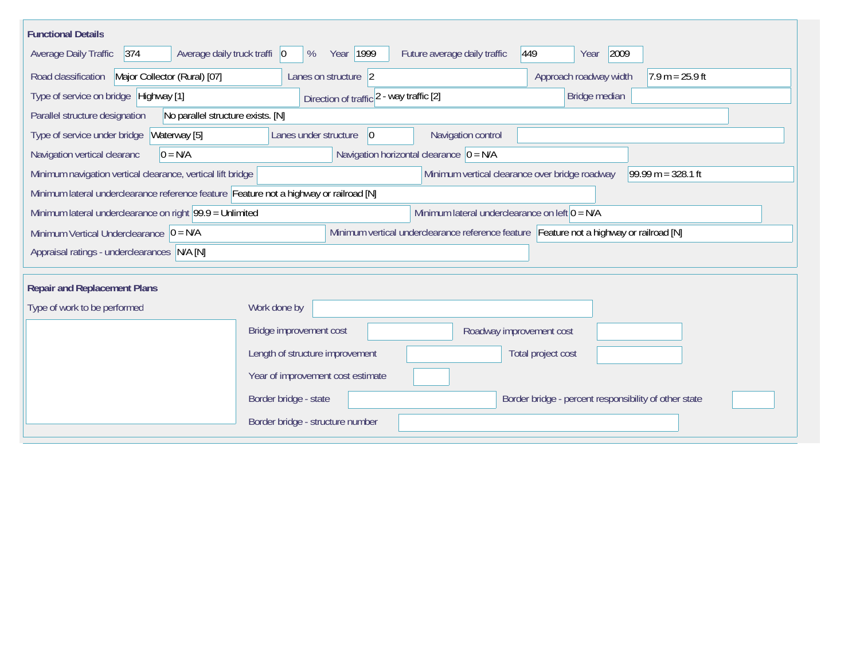| <b>Functional Details</b>                                                                                                             |                                                                                |  |  |  |  |  |  |
|---------------------------------------------------------------------------------------------------------------------------------------|--------------------------------------------------------------------------------|--|--|--|--|--|--|
| $374$<br>Average daily truck traffi   0<br>Average Daily Traffic                                                                      | Year 1999<br>2009<br>Future average daily traffic<br>449<br>%<br>Year          |  |  |  |  |  |  |
| Road classification<br>Major Collector (Rural) [07]                                                                                   | Approach roadway width<br>$7.9 m = 25.9 ft$<br>Lanes on structure 2            |  |  |  |  |  |  |
| Type of service on bridge Highway [1]                                                                                                 | Bridge median<br>Direction of traffic 2 - way traffic [2]                      |  |  |  |  |  |  |
| No parallel structure exists. [N]<br>Parallel structure designation                                                                   |                                                                                |  |  |  |  |  |  |
| Waterway [5]<br>Type of service under bridge                                                                                          | 0 <br>Navigation control<br>Lanes under structure                              |  |  |  |  |  |  |
| $0 = N/A$<br>Navigation vertical clearanc                                                                                             | Navigation horizontal clearance $ 0 = N/A$                                     |  |  |  |  |  |  |
| Minimum navigation vertical clearance, vertical lift bridge                                                                           | Minimum vertical clearance over bridge roadway<br>$99.99 m = 328.1 ft$         |  |  |  |  |  |  |
| Minimum lateral underclearance reference feature Feature not a highway or railroad [N]                                                |                                                                                |  |  |  |  |  |  |
| Minimum lateral underclearance on right 99.9 = Unlimited<br>Minimum lateral underclearance on left $0 = N/A$                          |                                                                                |  |  |  |  |  |  |
| Minimum vertical underclearance reference feature Feature not a highway or railroad [N]<br>Minimum Vertical Underclearance $ 0 = N/A$ |                                                                                |  |  |  |  |  |  |
| Appraisal ratings - underclearances N/A [N]                                                                                           |                                                                                |  |  |  |  |  |  |
|                                                                                                                                       |                                                                                |  |  |  |  |  |  |
| <b>Repair and Replacement Plans</b>                                                                                                   |                                                                                |  |  |  |  |  |  |
| Type of work to be performed                                                                                                          | Work done by                                                                   |  |  |  |  |  |  |
|                                                                                                                                       | Bridge improvement cost<br>Roadway improvement cost                            |  |  |  |  |  |  |
|                                                                                                                                       | Length of structure improvement<br>Total project cost                          |  |  |  |  |  |  |
|                                                                                                                                       | Year of improvement cost estimate                                              |  |  |  |  |  |  |
|                                                                                                                                       | Border bridge - state<br>Border bridge - percent responsibility of other state |  |  |  |  |  |  |
|                                                                                                                                       | Border bridge - structure number                                               |  |  |  |  |  |  |